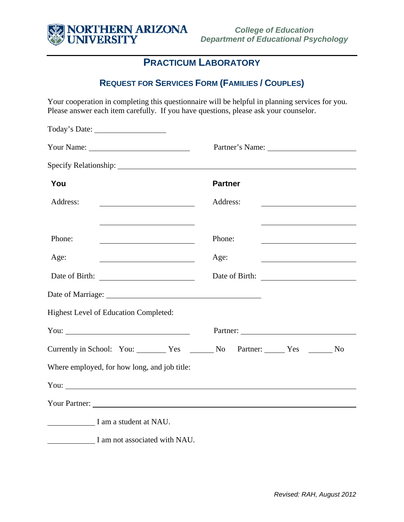

## **PRACTICUM LABORATORY**

## **REQUEST FOR SERVICES FORM (FAMILIES / COUPLES)**

Your cooperation in completing this questionnaire will be helpful in planning services for you. Please answer each item carefully. If you have questions, please ask your counselor.

| You                                                                                                                                                                                                                            | <b>Partner</b> |  |
|--------------------------------------------------------------------------------------------------------------------------------------------------------------------------------------------------------------------------------|----------------|--|
| Address:                                                                                                                                                                                                                       | Address:       |  |
|                                                                                                                                                                                                                                |                |  |
| Phone:                                                                                                                                                                                                                         | Phone:         |  |
| Age:                                                                                                                                                                                                                           | Age:           |  |
| Date of Birth:                                                                                                                                                                                                                 | Date of Birth: |  |
|                                                                                                                                                                                                                                |                |  |
| Highest Level of Education Completed:                                                                                                                                                                                          |                |  |
|                                                                                                                                                                                                                                |                |  |
|                                                                                                                                                                                                                                |                |  |
| Where employed, for how long, and job title:                                                                                                                                                                                   |                |  |
| You: Next State State State State State State State State State State State State State State State State State State State State State State State State State State State State State State State State State State State St |                |  |
|                                                                                                                                                                                                                                |                |  |
| I am a student at NAU.                                                                                                                                                                                                         |                |  |
| I am not associated with NAU.                                                                                                                                                                                                  |                |  |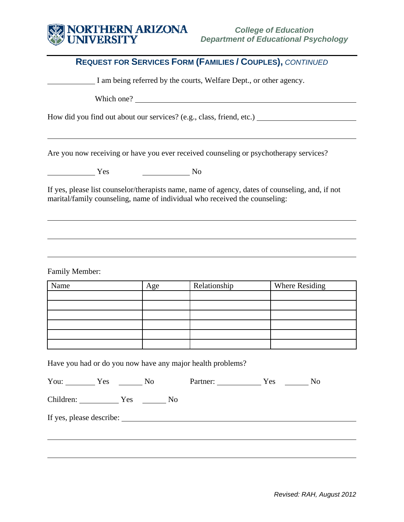## NORTHERN ARIZONA **SILL**

|                                                                    |                | <b>REQUEST FOR SERVICES FORM (FAMILIES / COUPLES), CONTINUED</b>                      |                                                                                                 |
|--------------------------------------------------------------------|----------------|---------------------------------------------------------------------------------------|-------------------------------------------------------------------------------------------------|
|                                                                    |                |                                                                                       |                                                                                                 |
| I am being referred by the courts, Welfare Dept., or other agency. |                |                                                                                       |                                                                                                 |
|                                                                    |                | Which one?                                                                            |                                                                                                 |
|                                                                    |                |                                                                                       | How did you find out about our services? (e.g., class, friend, etc.)                            |
|                                                                    |                |                                                                                       |                                                                                                 |
|                                                                    |                | Are you now receiving or have you ever received counseling or psychotherapy services? |                                                                                                 |
| Yes                                                                | N <sub>0</sub> |                                                                                       |                                                                                                 |
|                                                                    |                | marital/family counseling, name of individual who received the counseling:            | If yes, please list counselor/therapists name, name of agency, dates of counseling, and, if not |
|                                                                    |                |                                                                                       |                                                                                                 |
|                                                                    |                |                                                                                       |                                                                                                 |
|                                                                    |                |                                                                                       |                                                                                                 |
| <b>Family Member:</b>                                              |                |                                                                                       |                                                                                                 |
| Name                                                               | Age            | Relationship                                                                          | Where Residing                                                                                  |
|                                                                    |                |                                                                                       |                                                                                                 |
|                                                                    |                |                                                                                       |                                                                                                 |
|                                                                    |                |                                                                                       |                                                                                                 |
|                                                                    |                |                                                                                       |                                                                                                 |
| Have you had or do you now have any major health problems?         |                |                                                                                       |                                                                                                 |
| You: $Y$ es $\_\_\_\_\$ No                                         |                |                                                                                       | Partner: <u>Ves</u> No                                                                          |
|                                                                    |                |                                                                                       |                                                                                                 |
|                                                                    |                |                                                                                       |                                                                                                 |
|                                                                    |                |                                                                                       |                                                                                                 |
|                                                                    |                |                                                                                       |                                                                                                 |